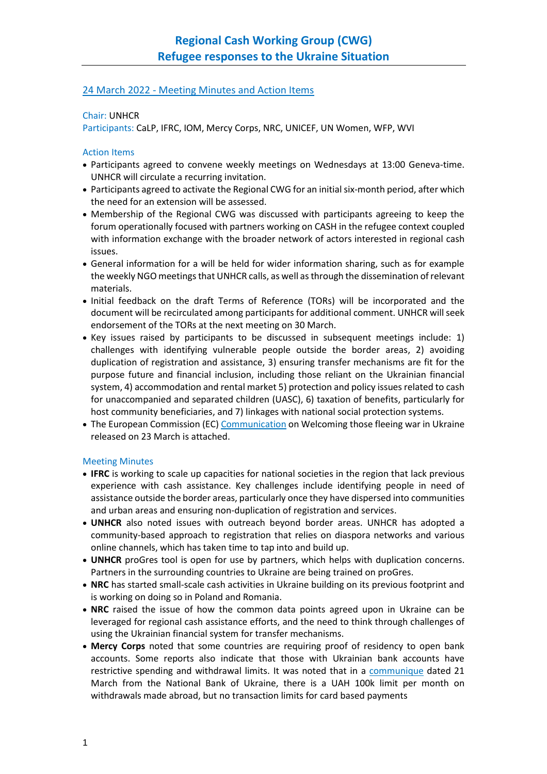## 24 March 2022 - Meeting Minutes and Action Items

## Chair: UNHCR

Participants: CaLP, IFRC, IOM, Mercy Corps, NRC, UNICEF, UN Women, WFP, WVI

## Action Items

- Participants agreed to convene weekly meetings on Wednesdays at 13:00 Geneva-time. UNHCR will circulate a recurring invitation.
- Participants agreed to activate the Regional CWG for an initial six-month period, after which the need for an extension will be assessed.
- Membership of the Regional CWG was discussed with participants agreeing to keep the forum operationally focused with partners working on CASH in the refugee context coupled with information exchange with the broader network of actors interested in regional cash issues.
- General information for a will be held for wider information sharing, such as for example the weekly NGO meetings that UNHCR calls, as well as through the dissemination of relevant materials.
- Initial feedback on the draft Terms of Reference (TORs) will be incorporated and the document will be recirculated among participants for additional comment. UNHCR will seek endorsement of the TORs at the next meeting on 30 March.
- Key issues raised by participants to be discussed in subsequent meetings include: 1) challenges with identifying vulnerable people outside the border areas, 2) avoiding duplication of registration and assistance, 3) ensuring transfer mechanisms are fit for the purpose future and financial inclusion, including those reliant on the Ukrainian financial system, 4) accommodation and rental market 5) protection and policy issues related to cash for unaccompanied and separated children (UASC), 6) taxation of benefits, particularly for host community beneficiaries, and 7) linkages with national social protection systems.
- The European Commission (EC[\) Communication](https://eur02.safelinks.protection.outlook.com/?url=https%3A%2F%2Fec.europa.eu%2Finfo%2Fsites%2Fdefault%2Ffiles%2Fcommunication_welcoming_those_fleeing_war_in_ukraine.pdf&data=04%7C01%7Cnosrati%40unhcr.org%7Cfea1655b39a5487cc53a08da0d16a1fb%7Ce5c37981666441348a0c6543d2af80be%7C0%7C0%7C637836688125175271%7CUnknown%7CTWFpbGZsb3d8eyJWIjoiMC4wLjAwMDAiLCJQIjoiV2luMzIiLCJBTiI6Ik1haWwiLCJXVCI6Mn0%3D%7C3000&sdata=8NBIiYKpPlzNRep4uNnJg3YTnwZJcnIZ2MMQ4lBh1qI%3D&reserved=0) on Welcoming those fleeing war in Ukraine released on 23 March is attached.

## Meeting Minutes

- **IFRC** is working to scale up capacities for national societies in the region that lack previous experience with cash assistance. Key challenges include identifying people in need of assistance outside the border areas, particularly once they have dispersed into communities and urban areas and ensuring non-duplication of registration and services.
- **UNHCR** also noted issues with outreach beyond border areas. UNHCR has adopted a community-based approach to registration that relies on diaspora networks and various online channels, which has taken time to tap into and build up.
- **UNHCR** proGres tool is open for use by partners, which helps with duplication concerns. Partners in the surrounding countries to Ukraine are being trained on proGres.
- **NRC** has started small-scale cash activities in Ukraine building on its previous footprint and is working on doing so in Poland and Romania.
- **NRC** raised the issue of how the common data points agreed upon in Ukraine can be leveraged for regional cash assistance efforts, and the need to think through challenges of using the Ukrainian financial system for transfer mechanisms.
- **Mercy Corps** noted that some countries are requiring proof of residency to open bank accounts. Some reports also indicate that those with Ukrainian bank accounts have restrictive spending and withdrawal limits. It was noted that in a [communique](https://bank.gov.ua/en/news/all/natsionalniy-bank-zbilshiv-limit-na-znyattya-gotivki-v-ukrayini-z-rahunkiv-u-inozemniy-valyuti-ta-utochniv-nizku-obmejen-na-transkordonni-operatsiyi) dated 21 March from the National Bank of Ukraine, there is a UAH 100k limit per month on withdrawals made abroad, but no transaction limits for card based payments